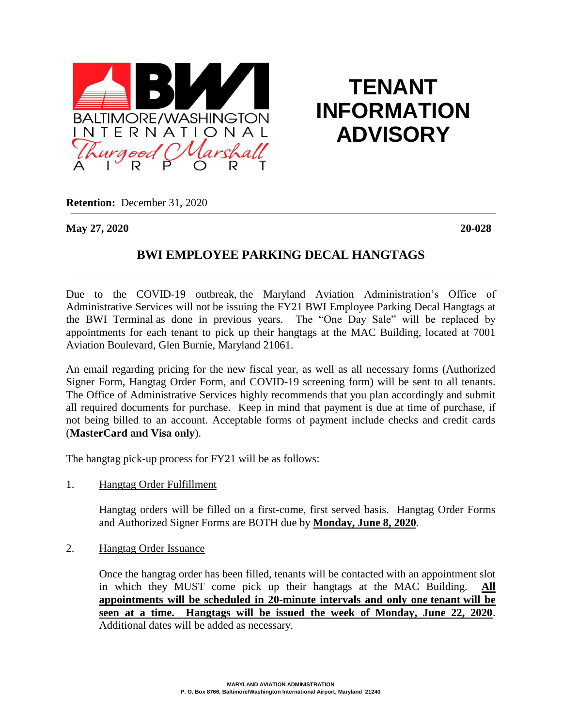

**TENANT INFORMATION ADVISORY**

**Retention:** December 31, 2020

**May 27, 2020 20-028**

## **BWI EMPLOYEE PARKING DECAL HANGTAGS**

Due to the COVID-19 outbreak, the Maryland Aviation Administration's Office of Administrative Services will not be issuing the FY21 BWI Employee Parking Decal Hangtags at the BWI Terminal as done in previous years. The "One Day Sale" will be replaced by appointments for each tenant to pick up their hangtags at the MAC Building, located at 7001 Aviation Boulevard, Glen Burnie, Maryland 21061.

An email regarding pricing for the new fiscal year, as well as all necessary forms (Authorized Signer Form, Hangtag Order Form, and COVID-19 screening form) will be sent to all tenants. The Office of Administrative Services highly recommends that you plan accordingly and submit all required documents for purchase. Keep in mind that payment is due at time of purchase, if not being billed to an account. Acceptable forms of payment include checks and credit cards (**MasterCard and Visa only**).

The hangtag pick-up process for FY21 will be as follows:

1. Hangtag Order Fulfillment

Hangtag orders will be filled on a first-come, first served basis. Hangtag Order Forms and Authorized Signer Forms are BOTH due by **Monday, June 8, 2020**.

2. Hangtag Order Issuance

Once the hangtag order has been filled, tenants will be contacted with an appointment slot in which they MUST come pick up their hangtags at the MAC Building. **All appointments will be scheduled in 20-minute intervals and only one tenant will be seen at a time. Hangtags will be issued the week of Monday, June 22, 2020**. Additional dates will be added as necessary.